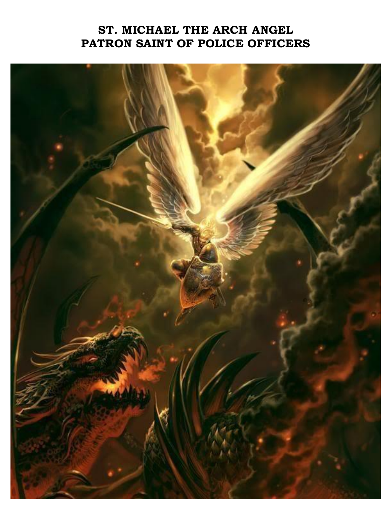## **ST. MICHAEL THE ARCH ANGEL PATRON SAINT OF POLICE OFFICERS**